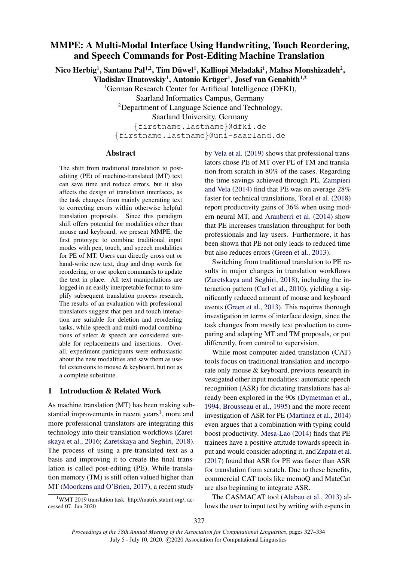# MMPE: A Multi-Modal Interface Using Handwriting, Touch Reordering, and Speech Commands for Post-Editing Machine Translation

Nico Herbig<sup>1</sup>, Santanu Pal<sup>1,2</sup>, Tim Düwel<sup>1</sup>, Kalliopi Meladaki<sup>1</sup>, Mahsa Monshizadeh<sup>2</sup>,

Vladislav Hnatovskiy<sup>1</sup>, Antonio Krüger<sup>1</sup>, Josef van Genabith<sup>1,2</sup>

<sup>1</sup>German Research Center for Artificial Intelligence (DFKI),

Saarland Informatics Campus, Germany

<sup>2</sup>Department of Language Science and Technology,

Saarland University, Germany

{firstname.lastname}@dfki.de {firstname.lastname}@uni-saarland.de

#### Abstract

The shift from traditional translation to postediting (PE) of machine-translated (MT) text can save time and reduce errors, but it also affects the design of translation interfaces, as the task changes from mainly generating text to correcting errors within otherwise helpful translation proposals. Since this paradigm shift offers potential for modalities other than mouse and keyboard, we present MMPE, the first prototype to combine traditional input modes with pen, touch, and speech modalities for PE of MT. Users can directly cross out or hand-write new text, drag and drop words for reordering, or use spoken commands to update the text in place. All text manipulations are logged in an easily interpretable format to simplify subsequent translation process research. The results of an evaluation with professional translators suggest that pen and touch interaction are suitable for deletion and reordering tasks, while speech and multi-modal combinations of select & speech are considered suitable for replacements and insertions. Overall, experiment participants were enthusiastic about the new modalities and saw them as useful extensions to mouse & keyboard, but not as a complete substitute.

# 1 Introduction & Related Work

As machine translation (MT) has been making sub-stantial improvements in recent years<sup>[1](#page-0-0)</sup>, more and more professional translators are integrating this technology into their translation workflows [\(Zaret](#page-7-0)[skaya et al.,](#page-7-0) [2016;](#page-7-0) [Zaretskaya and Seghiri,](#page-7-1) [2018\)](#page-7-1). The process of using a pre-translated text as a basis and improving it to create the final translation is called post-editing (PE). While translation memory (TM) is still often valued higher than MT [\(Moorkens and O'Brien,](#page-6-0) [2017\)](#page-6-0), a recent study

<span id="page-0-0"></span><sup>1</sup>WMT 2019 translation task: http://matrix.statmt.org/, accessed 07. Jan 2020

by [Vela et al.](#page-6-1) [\(2019\)](#page-6-1) shows that professional translators chose PE of MT over PE of TM and translation from scratch in 80% of the cases. Regarding the time savings achieved through PE, [Zampieri](#page-6-2) [and Vela](#page-6-2) [\(2014\)](#page-6-2) find that PE was on average 28% faster for technical translations, [Toral et al.](#page-6-3) [\(2018\)](#page-6-3) report productivity gains of 36% when using modern neural MT, and [Aranberri et al.](#page-6-4) [\(2014\)](#page-6-4) show that PE increases translation throughput for both professionals and lay users. Furthermore, it has been shown that PE not only leads to reduced time but also reduces errors [\(Green et al.,](#page-6-5) [2013\)](#page-6-5).

Switching from traditional translation to PE results in major changes in translation workflows [\(Zaretskaya and Seghiri,](#page-7-1) [2018\)](#page-7-1), including the interaction pattern [\(Carl et al.,](#page-6-6) [2010\)](#page-6-6), yielding a significantly reduced amount of mouse and keyboard events [\(Green et al.,](#page-6-5) [2013\)](#page-6-5). This requires thorough investigation in terms of interface design, since the task changes from mostly text production to comparing and adapting MT and TM proposals, or put differently, from control to supervision.

While most computer-aided translation (CAT) tools focus on traditional translation and incorporate only mouse & keyboard, previous research investigated other input modalities: automatic speech recognition (ASR) for dictating translations has already been explored in the 90s [\(Dymetman et al.,](#page-6-7) [1994;](#page-6-7) [Brousseau et al.,](#page-6-8) [1995\)](#page-6-8) and the more recent investigation of ASR for PE [\(Martinez et al.,](#page-6-9) [2014\)](#page-6-9) even argues that a combination with typing could boost productivity. [Mesa-Lao](#page-6-10) [\(2014\)](#page-6-10) finds that PE trainees have a positive attitude towards speech input and would consider adopting it, and [Zapata et al.](#page-7-2) [\(2017\)](#page-7-2) found that ASR for PE was faster than ASR for translation from scratch. Due to these benefits, commercial CAT tools like memoQ and MateCat are also beginning to integrate ASR.

The CASMACAT tool [\(Alabau et al.,](#page-6-11) [2013\)](#page-6-11) allows the user to input text by writing with e-pens in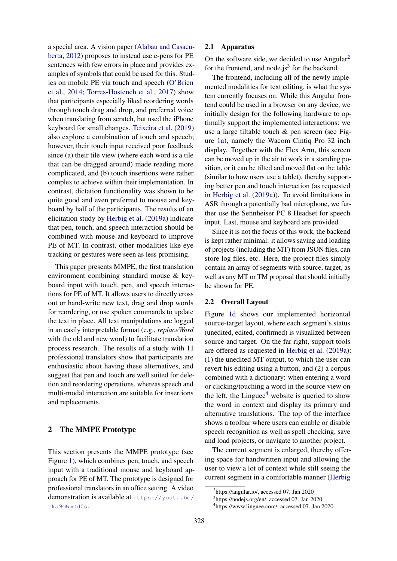a special area. A vision paper [\(Alabau and Casacu](#page-6-12)[berta,](#page-6-12) [2012\)](#page-6-12) proposes to instead use e-pens for PE sentences with few errors in place and provides examples of symbols that could be used for this. Studies on mobile PE via touch and speech [\(O'Brien](#page-6-13) [et al.,](#page-6-13) [2014;](#page-6-13) [Torres-Hostench et al.,](#page-6-14) [2017\)](#page-6-14) show that participants especially liked reordering words through touch drag and drop, and preferred voice when translating from scratch, but used the iPhone keyboard for small changes. [Teixeira et al.](#page-6-15) [\(2019\)](#page-6-15) also explore a combination of touch and speech; however, their touch input received poor feedback since (a) their tile view (where each word is a tile that can be dragged around) made reading more complicated, and (b) touch insertions were rather complex to achieve within their implementation. In contrast, dictation functionality was shown to be quite good and even preferred to mouse and keyboard by half of the participants. The results of an elicitation study by [Herbig et al.](#page-6-16) [\(2019a\)](#page-6-16) indicate that pen, touch, and speech interaction should be combined with mouse and keyboard to improve PE of MT. In contrast, other modalities like eye tracking or gestures were seen as less promising.

This paper presents MMPE, the first translation environment combining standard mouse & keyboard input with touch, pen, and speech interactions for PE of MT. It allows users to directly cross out or hand-write new text, drag and drop words for reordering, or use spoken commands to update the text in place. All text manipulations are logged in an easily interpretable format (e.g., *replaceWord* with the old and new word) to facilitate translation process research. The results of a study with 11 professional translators show that participants are enthusiastic about having these alternatives, and suggest that pen and touch are well suited for deletion and reordering operations, whereas speech and multi-modal interaction are suitable for insertions and replacements.

# 2 The MMPE Prototype

This section presents the MMPE prototype (see Figure [1\)](#page-2-0), which combines pen, touch, and speech input with a traditional mouse and keyboard approach for PE of MT. The prototype is designed for professional translators in an office setting. A video demonstration is available at [https://youtu.be/](https://youtu.be/tkJ9OWmDd0s) [tkJ9OWmDd0s](https://youtu.be/tkJ9OWmDd0s).

### 2.1 Apparatus

On the software side, we decided to use  $Angular<sup>2</sup>$  $Angular<sup>2</sup>$  $Angular<sup>2</sup>$ for the frontend, and node.js<sup>[3](#page-1-1)</sup> for the backend.

The frontend, including all of the newly implemented modalities for text editing, is what the system currently focuses on. While this Angular frontend could be used in a browser on any device, we initially design for the following hardware to optimally support the implemented interactions: we use a large tiltable touch & pen screen (see Figure [1a\)](#page-2-0), namely the Wacom Cintiq Pro 32 inch display. Together with the Flex Arm, this screen can be moved up in the air to work in a standing position, or it can be tilted and moved flat on the table (similar to how users use a tablet), thereby supporting better pen and touch interaction (as requested in [Herbig et al.](#page-6-16) [\(2019a\)](#page-6-16)). To avoid limitations in ASR through a potentially bad microphone, we further use the Sennheiser PC 8 Headset for speech input. Last, mouse and keyboard are provided.

Since it is not the focus of this work, the backend is kept rather minimal: it allows saving and loading of projects (including the MT) from JSON files, can store log files, etc. Here, the project files simply contain an array of segments with source, target, as well as any MT or TM proposal that should initially be shown for PE.

#### 2.2 Overall Layout

Figure [1d](#page-2-0) shows our implemented horizontal source-target layout, where each segment's status (unedited, edited, confirmed) is visualized between source and target. On the far right, support tools are offered as requested in [Herbig et al.](#page-6-16) [\(2019a\)](#page-6-16): (1) the unedited MT output, to which the user can revert his editing using a button, and (2) a corpus combined with a dictionary: when entering a word or clicking/touching a word in the source view on the left, the Linguee<sup>[4](#page-1-2)</sup> website is queried to show the word in context and display its primary and alternative translations. The top of the interface shows a toolbar where users can enable or disable speech recognition as well as spell checking, save and load projects, or navigate to another project.

The current segment is enlarged, thereby offering space for handwritten input and allowing the user to view a lot of context while still seeing the current segment in a comfortable manner [\(Herbig](#page-6-16)

<span id="page-1-0"></span><sup>2</sup> [https://angular.io/, accessed 07. Jan 2020](#page-6-16)

<span id="page-1-2"></span><span id="page-1-1"></span><sup>3</sup> [https://nodejs.org/en/, accessed 07. Jan 2020](#page-6-16) 4 [https://www.linguee.com/, accessed 07. Jan 2020](#page-6-16)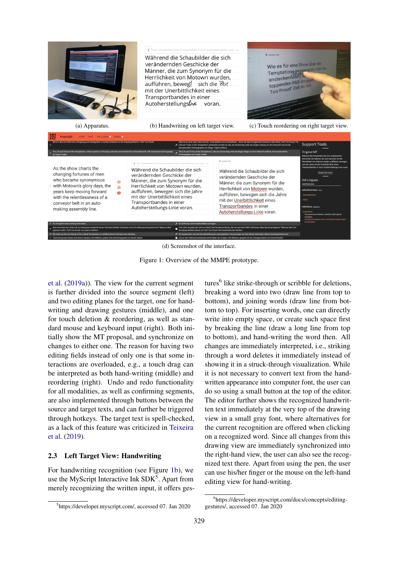<span id="page-2-0"></span>

(d) Screenshot of the interface.

Figure 1: Overview of the MMPE prototype.

[et al.](#page-6-16) [\(2019a\)](#page-6-16)). The view for the current segment is further divided into the source segment (left) and two editing planes for the target, one for handwriting and drawing gestures (middle), and one for touch deletion & reordering, as well as standard mouse and keyboard input (right). Both initially show the MT proposal, and synchronize on changes to either one. The reason for having two editing fields instead of only one is that some interactions are overloaded, e.g., a touch drag can be interpreted as both hand-writing (middle) and reordering (right). Undo and redo functionality for all modalities, as well as confirming segments, are also implemented through buttons between the source and target texts, and can further be triggered through hotkeys. The target text is spell-checked, as a lack of this feature was criticized in [Teixeira](#page-6-15) [et al.](#page-6-15) [\(2019\)](#page-6-15).

# 2.3 Left Target View: Handwriting

For handwriting recognition (see Figure [1b\)](#page-2-0), we use the MyScript Interactive Ink SDK<sup>[5](#page-2-1)</sup>. Apart from merely recognizing the written input, it offers ges-

tures<sup>[6](#page-2-2)</sup> like strike-through or scribble for deletions, breaking a word into two (draw line from top to bottom), and joining words (draw line from bottom to top). For inserting words, one can directly write into empty space, or create such space first by breaking the line (draw a long line from top to bottom), and hand-writing the word then. All changes are immediately interpreted, i.e., striking through a word deletes it immediately instead of showing it in a struck-through visualization. While it is not necessary to convert text from the handwritten appearance into computer font, the user can do so using a small button at the top of the editor. The editor further shows the recognized handwritten text immediately at the very top of the drawing view in a small gray font, where alternatives for the current recognition are offered when clicking on a recognized word. Since all changes from this drawing view are immediately synchronized into the right-hand view, the user can also see the recognized text there. Apart from using the pen, the user can use his/her finger or the mouse on the left-hand editing view for hand-writing.

<span id="page-2-1"></span><sup>5</sup> https://developer.myscript.com/, accessed 07. Jan 2020

<span id="page-2-2"></span><sup>6</sup> https://developer.myscript.com/docs/concepts/editinggestures/, accessed 07. Jan 2020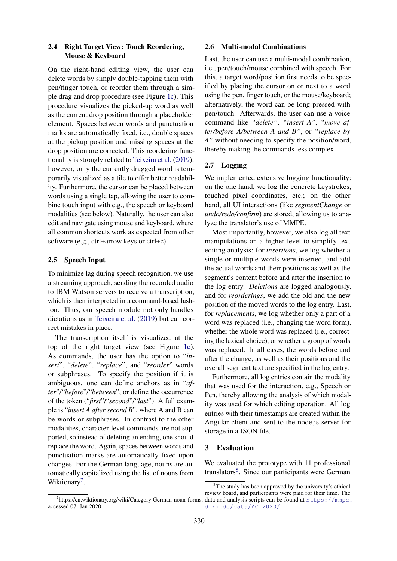# 2.4 Right Target View: Touch Reordering, Mouse & Keyboard

On the right-hand editing view, the user can delete words by simply double-tapping them with pen/finger touch, or reorder them through a simple drag and drop procedure (see Figure [1c\)](#page-2-0). This procedure visualizes the picked-up word as well as the current drop position through a placeholder element. Spaces between words and punctuation marks are automatically fixed, i.e., double spaces at the pickup position and missing spaces at the drop position are corrected. This reordering functionality is strongly related to [Teixeira et al.](#page-6-15) [\(2019\)](#page-6-15); however, only the currently dragged word is temporarily visualized as a tile to offer better readability. Furthermore, the cursor can be placed between words using a single tap, allowing the user to combine touch input with e.g., the speech or keyboard modalities (see below). Naturally, the user can also edit and navigate using mouse and keyboard, where all common shortcuts work as expected from other software (e.g., ctrl+arrow keys or ctrl+c).

# 2.5 Speech Input

To minimize lag during speech recognition, we use a streaming approach, sending the recorded audio to IBM Watson servers to receive a transcription, which is then interpreted in a command-based fashion. Thus, our speech module not only handles dictations as in [Teixeira et al.](#page-6-15) [\(2019\)](#page-6-15) but can correct mistakes in place.

The transcription itself is visualized at the top of the right target view (see Figure [1c\)](#page-2-0). As commands, the user has the option to "*insert*", "*delete*", "*replace*", and "*reorder*" words or subphrases. To specify the position if it is ambiguous, one can define anchors as in "*after*"/"*before*"/"*between*", or define the occurrence of the token ("*first*"/"*second*"/"*last*"). A full example is "*insert A after second B*", where A and B can be words or subphrases. In contrast to the other modalities, character-level commands are not supported, so instead of deleting an ending, one should replace the word. Again, spaces between words and punctuation marks are automatically fixed upon changes. For the German language, nouns are automatically capitalized using the list of nouns from Wiktionary<sup>[7](#page-3-0)</sup>.

# <span id="page-3-2"></span>2.6 Multi-modal Combinations

Last, the user can use a multi-modal combination, i.e., pen/touch/mouse combined with speech. For this, a target word/position first needs to be specified by placing the cursor on or next to a word using the pen, finger touch, or the mouse/keyboard; alternatively, the word can be long-pressed with pen/touch. Afterwards, the user can use a voice command like *"delete"*, *"insert A"*, *"move after/before A/between A and B"*, or *"replace by A"* without needing to specify the position/word, thereby making the commands less complex.

### 2.7 Logging

We implemented extensive logging functionality: on the one hand, we log the concrete keystrokes, touched pixel coordinates, etc.; on the other hand, all UI interactions (like *segmentChange* or *undo/redo/confirm*) are stored, allowing us to analyze the translator's use of MMPE.

Most importantly, however, we also log all text manipulations on a higher level to simplify text editing analysis: for *insertions*, we log whether a single or multiple words were inserted, and add the actual words and their positions as well as the segment's content before and after the insertion to the log entry. *Deletions* are logged analogously, and for *reorderings*, we add the old and the new position of the moved words to the log entry. Last, for *replacements*, we log whether only a part of a word was replaced (i.e., changing the word form), whether the whole word was replaced (i.e., correcting the lexical choice), or whether a group of words was replaced. In all cases, the words before and after the change, as well as their positions and the overall segment text are specified in the log entry.

Furthermore, all log entries contain the modality that was used for the interaction, e.g., Speech or Pen, thereby allowing the analysis of which modality was used for which editing operation. All log entries with their timestamps are created within the Angular client and sent to the node.js server for storage in a JSON file.

### 3 Evaluation

<span id="page-3-1"></span>We evaluated the prototype with 11 professional translators<sup>[8](#page-3-1)</sup>. Since our participants were German

accessed 07. Jan 2020

<span id="page-3-0"></span><sup>7</sup> https://en.wiktionary.org/wiki/Category:German noun forms, data and analysis scripts can be found at [https://mmpe.](https://mmpe.dfki.de/data/ACL2020/)  ${}^{8}$ The study has been approved by the university's ethical review board, and participants were paid for their time. The [dfki.de/data/ACL2020/](https://mmpe.dfki.de/data/ACL2020/).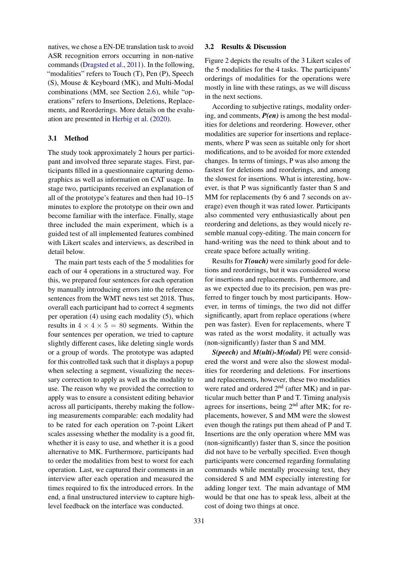natives, we chose a EN-DE translation task to avoid ASR recognition errors occurring in non-native commands [\(Dragsted et al.,](#page-6-17) [2011\)](#page-6-17). In the following, "modalities" refers to Touch (T), Pen (P), Speech (S), Mouse & Keyboard (MK), and Multi-Modal combinations (MM, see Section [2.6\)](#page-3-2), while "operations" refers to Insertions, Deletions, Replacements, and Reorderings. More details on the evaluation are presented in [Herbig et al.](#page-6-18) [\(2020\)](#page-6-18).

### 3.1 Method

The study took approximately 2 hours per participant and involved three separate stages. First, participants filled in a questionnaire capturing demographics as well as information on CAT usage. In stage two, participants received an explanation of all of the prototype's features and then had 10–15 minutes to explore the prototype on their own and become familiar with the interface. Finally, stage three included the main experiment, which is a guided test of all implemented features combined with Likert scales and interviews, as described in detail below.

The main part tests each of the 5 modalities for each of our 4 operations in a structured way. For this, we prepared four sentences for each operation by manually introducing errors into the reference sentences from the WMT news test set 2018. Thus, overall each participant had to correct 4 segments per operation (4) using each modality (5), which results in  $4 \times 4 \times 5 = 80$  segments. Within the four sentences per operation, we tried to capture slightly different cases, like deleting single words or a group of words. The prototype was adapted for this controlled task such that it displays a popup when selecting a segment, visualizing the necessary correction to apply as well as the modality to use. The reason why we provided the correction to apply was to ensure a consistent editing behavior across all participants, thereby making the following measurements comparable: each modality had to be rated for each operation on 7-point Likert scales assessing whether the modality is a good fit, whether it is easy to use, and whether it is a good alternative to MK. Furthermore, participants had to order the modalities from best to worst for each operation. Last, we captured their comments in an interview after each operation and measured the times required to fix the introduced errors. In the end, a final unstructured interview to capture highlevel feedback on the interface was conducted.

### 3.2 Results & Discussion

Figure [2](#page-5-0) depicts the results of the 3 Likert scales of the 5 modalities for the 4 tasks. The participants' orderings of modalities for the operations were mostly in line with these ratings, as we will discuss in the next sections.

According to subjective ratings, modality ordering, and comments, *P(en)* is among the best modalities for deletions and reordering. However, other modalities are superior for insertions and replacements, where P was seen as suitable only for short modifications, and to be avoided for more extended changes. In terms of timings, P was also among the fastest for deletions and reorderings, and among the slowest for insertions. What is interesting, however, is that P was significantly faster than S and MM for replacements (by 6 and 7 seconds on average) even though it was rated lower. Participants also commented very enthusiastically about pen reordering and deletions, as they would nicely resemble manual copy-editing. The main concern for hand-writing was the need to think about and to create space before actually writing.

Results for *T(ouch)* were similarly good for deletions and reorderings, but it was considered worse for insertions and replacements. Furthermore, and as we expected due to its precision, pen was preferred to finger touch by most participants. However, in terms of timings, the two did not differ significantly, apart from replace operations (where pen was faster). Even for replacements, where T was rated as the worst modality, it actually was (non-significantly) faster than S and MM.

*S(peech)* and *M(ulti)-M(odal)* PE were considered the worst and were also the slowest modalities for reordering and deletions. For insertions and replacements, however, these two modalities were rated and ordered  $2<sup>nd</sup>$  (after MK) and in particular much better than P and T. Timing analysis agrees for insertions, being  $2<sup>nd</sup>$  after MK; for replacements, however, S and MM were the slowest even though the ratings put them ahead of P and T. Insertions are the only operation where MM was (non-significantly) faster than S, since the position did not have to be verbally specified. Even though participants were concerned regarding formulating commands while mentally processing text, they considered S and MM especially interesting for adding longer text. The main advantage of MM would be that one has to speak less, albeit at the cost of doing two things at once.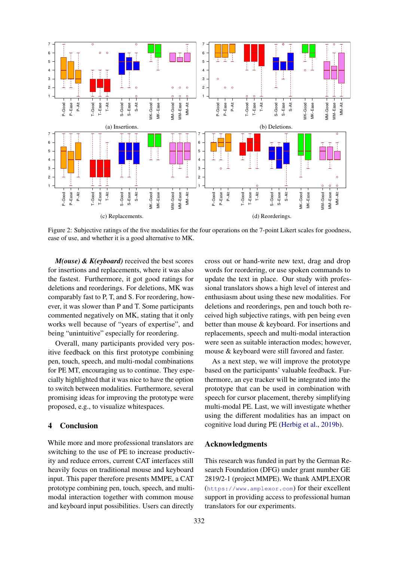<span id="page-5-0"></span>

Figure 2: Subjective ratings of the five modalities for the four operations on the 7-point Likert scales for goodness, ease of use, and whether it is a good alternative to MK.

*M(ouse) & K(eyboard)* received the best scores for insertions and replacements, where it was also the fastest. Furthermore, it got good ratings for deletions and reorderings. For deletions, MK was comparably fast to P, T, and S. For reordering, however, it was slower than P and T. Some participants commented negatively on MK, stating that it only works well because of "years of expertise", and being "unintuitive" especially for reordering.

Overall, many participants provided very positive feedback on this first prototype combining pen, touch, speech, and multi-modal combinations for PE MT, encouraging us to continue. They especially highlighted that it was nice to have the option to switch between modalities. Furthermore, several promising ideas for improving the prototype were proposed, e.g., to visualize whitespaces.

# 4 Conclusion

While more and more professional translators are switching to the use of PE to increase productivity and reduce errors, current CAT interfaces still heavily focus on traditional mouse and keyboard input. This paper therefore presents MMPE, a CAT prototype combining pen, touch, speech, and multimodal interaction together with common mouse and keyboard input possibilities. Users can directly cross out or hand-write new text, drag and drop words for reordering, or use spoken commands to update the text in place. Our study with professional translators shows a high level of interest and enthusiasm about using these new modalities. For deletions and reorderings, pen and touch both received high subjective ratings, with pen being even better than mouse & keyboard. For insertions and replacements, speech and multi-modal interaction were seen as suitable interaction modes; however, mouse & keyboard were still favored and faster.

As a next step, we will improve the prototype based on the participants' valuable feedback. Furthermore, an eye tracker will be integrated into the prototype that can be used in combination with speech for cursor placement, thereby simplifying multi-modal PE. Last, we will investigate whether using the different modalities has an impact on cognitive load during PE [\(Herbig et al.,](#page-6-19) [2019b\)](#page-6-19).

# Acknowledgments

This research was funded in part by the German Research Foundation (DFG) under grant number GE 2819/2-1 (project MMPE). We thank AMPLEXOR (<https://www.amplexor.com>) for their excellent support in providing access to professional human translators for our experiments.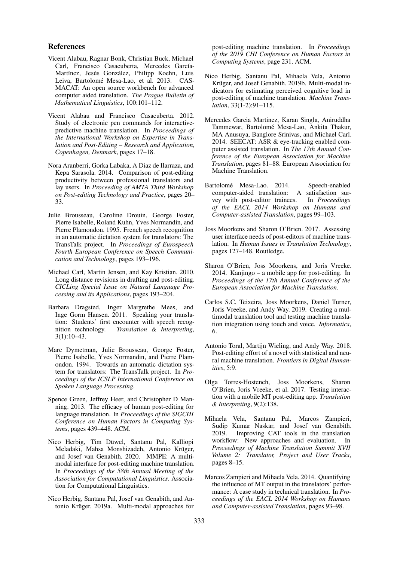#### References

- <span id="page-6-11"></span>Vicent Alabau, Ragnar Bonk, Christian Buck, Michael Carl, Francisco Casacuberta, Mercedes García-Martínez, Jesús González, Philipp Koehn, Luis Leiva, Bartolomé Mesa-Lao, et al. 2013. CAS-MACAT: An open source workbench for advanced computer aided translation. *The Prague Bulletin of Mathematical Linguistics*, 100:101–112.
- <span id="page-6-12"></span>Vicent Alabau and Francisco Casacuberta. 2012. Study of electronic pen commands for interactivepredictive machine translation. In *Proceedings of the International Workshop on Expertise in Translation and Post-Editing – Research and Application, Copenhagen, Denmark*, pages 17–18.
- <span id="page-6-4"></span>Nora Aranberri, Gorka Labaka, A Diaz de Ilarraza, and Kepa Sarasola. 2014. Comparison of post-editing productivity between professional translators and lay users. In *Proceeding of AMTA Third Workshop on Post-editing Technology and Practice*, pages 20– 33.
- <span id="page-6-8"></span>Julie Brousseau, Caroline Drouin, George Foster, Pierre Isabelle, Roland Kuhn, Yves Normandin, and Pierre Plamondon. 1995. French speech recognition in an automatic dictation system for translators: The TransTalk project. In *Proceedings of Eurospeech Fourth European Conference on Speech Communication and Technology*, pages 193–196.
- <span id="page-6-6"></span>Michael Carl, Martin Jensen, and Kay Kristian. 2010. Long distance revisions in drafting and post-editing. *CICLing Special Issue on Natural Language Processing and its Applications*, pages 193–204.
- <span id="page-6-17"></span>Barbara Dragsted, Inger Margrethe Mees, and Inge Gorm Hansen. 2011. Speaking your translation: Students' first encounter with speech recognition technology. *Translation & Interpreting*, 3(1):10–43.
- <span id="page-6-7"></span>Marc Dymetman, Julie Brousseau, George Foster, Pierre Isabelle, Yves Normandin, and Pierre Plamondon. 1994. Towards an automatic dictation system for translators: The TransTalk project. In *Proceedings of the ICSLP International Conference on Spoken Language Processing*.
- <span id="page-6-5"></span>Spence Green, Jeffrey Heer, and Christopher D Manning. 2013. The efficacy of human post-editing for language translation. In *Proceedings of the SIGCHI Conference on Human Factors in Computing Systems*, pages 439–448. ACM.
- <span id="page-6-18"></span>Nico Herbig, Tim Düwel, Santanu Pal, Kalliopi Meladaki, Mahsa Monshizadeh, Antonio Krüger, and Josef van Genabith. 2020. MMPE: A multimodal interface for post-editing machine translation. In *Proceedings of the 58th Annual Meeting of the Association for Computational Linguistics*. Association for Computational Linguistics.
- <span id="page-6-16"></span>Nico Herbig, Santanu Pal, Josef van Genabith, and Antonio Krüger. 2019a. Multi-modal approaches for

post-editing machine translation. In *Proceedings of the 2019 CHI Conference on Human Factors in Computing Systems*, page 231. ACM.

- <span id="page-6-19"></span>Nico Herbig, Santanu Pal, Mihaela Vela, Antonio Krüger, and Josef Genabith. 2019b. Multi-modal indicators for estimating perceived cognitive load in post-editing of machine translation. *Machine Translation*, 33(1-2):91–115.
- <span id="page-6-9"></span>Mercedes Garcia Martinez, Karan Singla, Aniruddha Tammewar, Bartolomé Mesa-Lao, Ankita Thakur, MA Anusuya, Banglore Srinivas, and Michael Carl. 2014. SEECAT: ASR & eye-tracking enabled computer assisted translation. In *The 17th Annual Conference of the European Association for Machine Translation*, pages 81–88. European Association for Machine Translation.
- <span id="page-6-10"></span>Bartolomé Mesa-Lao. 2014. Speech-enabled computer-aided translation: A satisfaction survey with post-editor trainees. In *Proceedings of the EACL 2014 Workshop on Humans and Computer-assisted Translation*, pages 99–103.
- <span id="page-6-0"></span>Joss Moorkens and Sharon O'Brien. 2017. Assessing user interface needs of post-editors of machine translation. In *Human Issues in Translation Technology*, pages 127–148. Routledge.
- <span id="page-6-13"></span>Sharon O'Brien, Joss Moorkens, and Joris Vreeke. 2014. Kanjingo – a mobile app for post-editing. In *Proceedings of the 17th Annual Conference of the European Association for Machine Translation*.
- <span id="page-6-15"></span>Carlos S.C. Teixeira, Joss Moorkens, Daniel Turner, Joris Vreeke, and Andy Way. 2019. Creating a multimodal translation tool and testing machine translation integration using touch and voice. *Informatics*, 6.
- <span id="page-6-3"></span>Antonio Toral, Martijn Wieling, and Andy Way. 2018. Post-editing effort of a novel with statistical and neural machine translation. *Frontiers in Digital Humanities*, 5:9.
- <span id="page-6-14"></span>Olga Torres-Hostench, Joss Moorkens, Sharon O'Brien, Joris Vreeke, et al. 2017. Testing interaction with a mobile MT post-editing app. *Translation & Interpreting*, 9(2):138.
- <span id="page-6-1"></span>Mihaela Vela, Santanu Pal, Marcos Zampieri, Sudip Kumar Naskar, and Josef van Genabith. 2019. Improving CAT tools in the translation workflow: New approaches and evaluation. In *Proceedings of Machine Translation Summit XVII Volume 2: Translator, Project and User Tracks*, pages 8–15.
- <span id="page-6-2"></span>Marcos Zampieri and Mihaela Vela. 2014. Quantifying the influence of MT output in the translators' performance: A case study in technical translation. In *Proceedings of the EACL 2014 Workshop on Humans and Computer-assisted Translation*, pages 93–98.